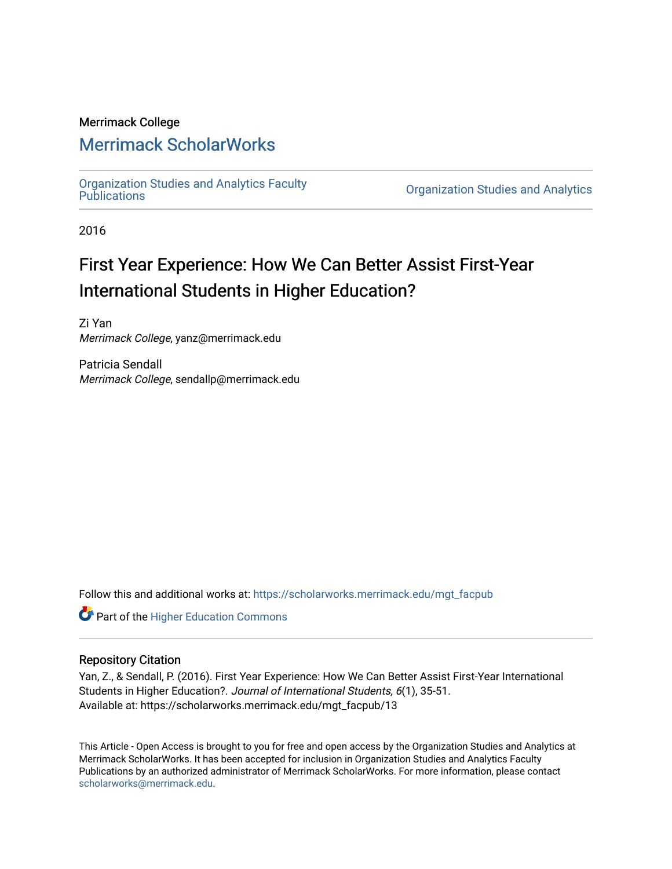## Merrimack College

# [Merrimack ScholarWorks](https://scholarworks.merrimack.edu/)

[Organization Studies and Analytics Faculty](https://scholarworks.merrimack.edu/mgt_facpub) 

**Organization Studies and Analytics** 

2016

# First Year Experience: How We Can Better Assist First-Year International Students in Higher Education?

Zi Yan Merrimack College, yanz@merrimack.edu

Patricia Sendall Merrimack College, sendallp@merrimack.edu

Follow this and additional works at: [https://scholarworks.merrimack.edu/mgt\\_facpub](https://scholarworks.merrimack.edu/mgt_facpub?utm_source=scholarworks.merrimack.edu%2Fmgt_facpub%2F13&utm_medium=PDF&utm_campaign=PDFCoverPages) 

Part of the [Higher Education Commons](http://network.bepress.com/hgg/discipline/1245?utm_source=scholarworks.merrimack.edu%2Fmgt_facpub%2F13&utm_medium=PDF&utm_campaign=PDFCoverPages) 

### Repository Citation

Yan, Z., & Sendall, P. (2016). First Year Experience: How We Can Better Assist First-Year International Students in Higher Education?. Journal of International Students, 6(1), 35-51. Available at: https://scholarworks.merrimack.edu/mgt\_facpub/13

This Article - Open Access is brought to you for free and open access by the Organization Studies and Analytics at Merrimack ScholarWorks. It has been accepted for inclusion in Organization Studies and Analytics Faculty Publications by an authorized administrator of Merrimack ScholarWorks. For more information, please contact [scholarworks@merrimack.edu](mailto:scholarworks@merrimack.edu).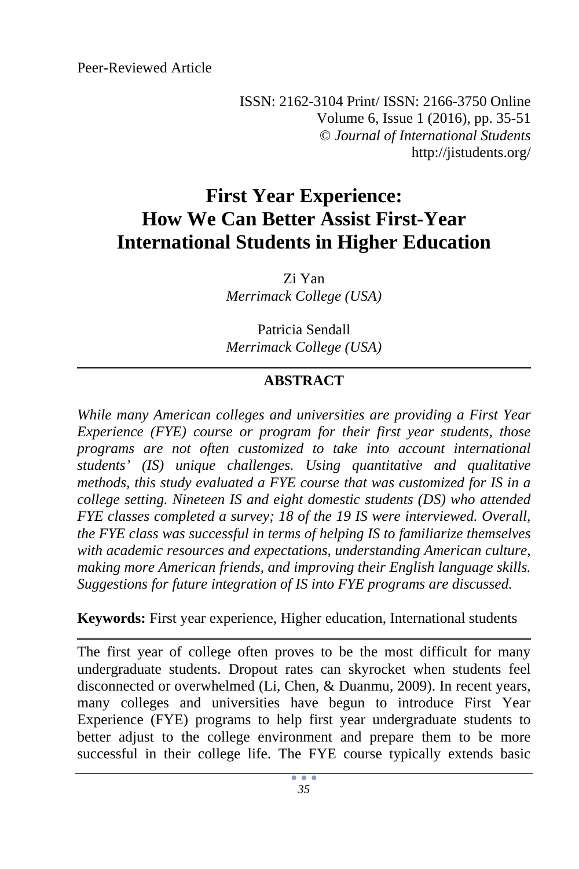Peer-Reviewed Article

ISSN: 2162-3104 Print/ ISSN: 2166-3750 Online Volume 6, Issue 1 (2016), pp. 35-51 © *Journal of International Students* http://jistudents.org/

# **First Year Experience: How We Can Better Assist First-Year International Students in Higher Education**

Zi Yan *Merrimack College (USA)* 

Patricia Sendall *Merrimack College (USA)* 

# **ABSTRACT**

*While many American colleges and universities are providing a First Year Experience (FYE) course or program for their first year students, those programs are not often customized to take into account international students' (IS) unique challenges. Using quantitative and qualitative methods, this study evaluated a FYE course that was customized for IS in a college setting. Nineteen IS and eight domestic students (DS) who attended FYE classes completed a survey; 18 of the 19 IS were interviewed. Overall, the FYE class was successful in terms of helping IS to familiarize themselves with academic resources and expectations, understanding American culture, making more American friends, and improving their English language skills. Suggestions for future integration of IS into FYE programs are discussed.* 

**Keywords:** First year experience, Higher education, International students

The first year of college often proves to be the most difficult for many undergraduate students. Dropout rates can skyrocket when students feel disconnected or overwhelmed (Li, Chen, & Duanmu, 2009). In recent years, many colleges and universities have begun to introduce First Year Experience (FYE) programs to help first year undergraduate students to better adjust to the college environment and prepare them to be more successful in their college life. The FYE course typically extends basic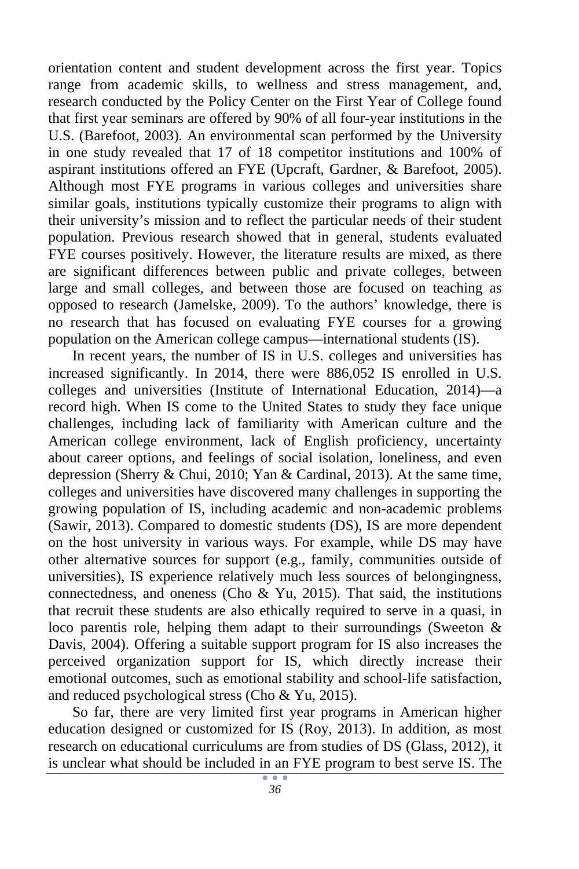orientation content and student development across the first year. Topics range from academic skills, to wellness and stress management, and, research conducted by the Policy Center on the First Year of College found that first year seminars are offered by 90% of all four-year institutions in the U.S. (Barefoot, 2003). An environmental scan performed by the University in one study revealed that 17 of 18 competitor institutions and 100% of aspirant institutions offered an FYE (Upcraft, Gardner, & Barefoot, 2005). Although most FYE programs in various colleges and universities share similar goals, institutions typically customize their programs to align with their university's mission and to reflect the particular needs of their student population. Previous research showed that in general, students evaluated FYE courses positively. However, the literature results are mixed, as there are significant differences between public and private colleges, between large and small colleges, and between those are focused on teaching as opposed to research (Jamelske, 2009). To the authors' knowledge, there is no research that has focused on evaluating FYE courses for a growing population on the American college campus—international students (IS).

In recent years, the number of IS in U.S. colleges and universities has increased significantly. In 2014, there were 886,052 IS enrolled in U.S. colleges and universities (Institute of International Education, 2014)—a record high. When IS come to the United States to study they face unique challenges, including lack of familiarity with American culture and the American college environment, lack of English proficiency, uncertainty about career options, and feelings of social isolation, loneliness, and even depression (Sherry & Chui, 2010; Yan & Cardinal, 2013). At the same time, colleges and universities have discovered many challenges in supporting the growing population of IS, including academic and non-academic problems (Sawir, 2013). Compared to domestic students (DS), IS are more dependent on the host university in various ways. For example, while DS may have other alternative sources for support (e.g., family, communities outside of universities), IS experience relatively much less sources of belongingness, connectedness, and oneness (Cho  $\&$  Yu, 2015). That said, the institutions that recruit these students are also ethically required to serve in a quasi, in loco parentis role, helping them adapt to their surroundings (Sweeton & Davis, 2004). Offering a suitable support program for IS also increases the perceived organization support for IS, which directly increase their emotional outcomes, such as emotional stability and school-life satisfaction, and reduced psychological stress (Cho & Yu, 2015).

So far, there are very limited first year programs in American higher education designed or customized for IS (Roy, 2013). In addition, as most research on educational curriculums are from studies of DS (Glass, 2012), it is unclear what should be included in an FYE program to best serve IS. The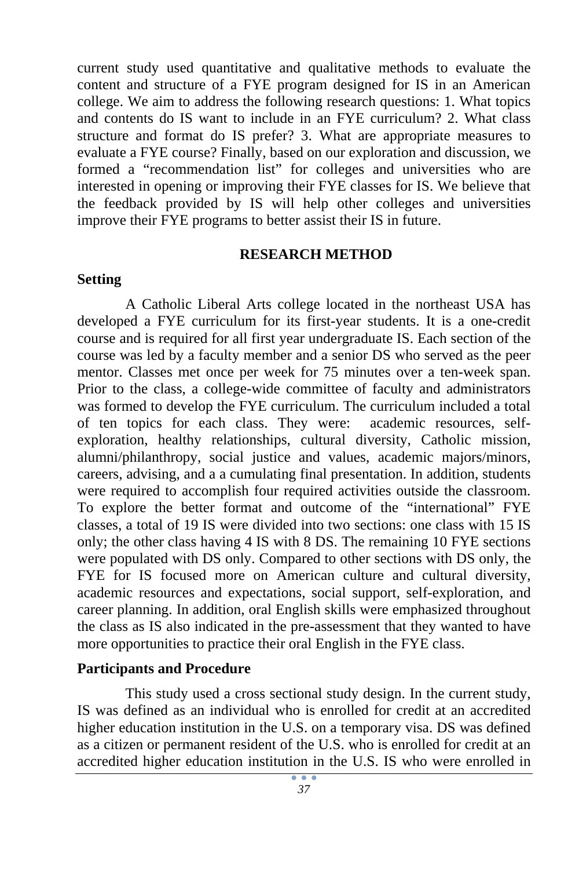current study used quantitative and qualitative methods to evaluate the content and structure of a FYE program designed for IS in an American college. We aim to address the following research questions: 1. What topics and contents do IS want to include in an FYE curriculum? 2. What class structure and format do IS prefer? 3. What are appropriate measures to evaluate a FYE course? Finally, based on our exploration and discussion, we formed a "recommendation list" for colleges and universities who are interested in opening or improving their FYE classes for IS. We believe that the feedback provided by IS will help other colleges and universities improve their FYE programs to better assist their IS in future.

#### **RESEARCH METHOD**

#### **Setting**

A Catholic Liberal Arts college located in the northeast USA has developed a FYE curriculum for its first-year students. It is a one-credit course and is required for all first year undergraduate IS. Each section of the course was led by a faculty member and a senior DS who served as the peer mentor. Classes met once per week for 75 minutes over a ten-week span. Prior to the class, a college-wide committee of faculty and administrators was formed to develop the FYE curriculum. The curriculum included a total of ten topics for each class. They were: academic resources, selfexploration, healthy relationships, cultural diversity, Catholic mission, alumni/philanthropy, social justice and values, academic majors/minors, careers, advising, and a a cumulating final presentation. In addition, students were required to accomplish four required activities outside the classroom. To explore the better format and outcome of the "international" FYE classes, a total of 19 IS were divided into two sections: one class with 15 IS only; the other class having 4 IS with 8 DS. The remaining 10 FYE sections were populated with DS only. Compared to other sections with DS only, the FYE for IS focused more on American culture and cultural diversity, academic resources and expectations, social support, self-exploration, and career planning. In addition, oral English skills were emphasized throughout the class as IS also indicated in the pre-assessment that they wanted to have more opportunities to practice their oral English in the FYE class.

#### **Participants and Procedure**

This study used a cross sectional study design. In the current study, IS was defined as an individual who is enrolled for credit at an accredited higher education institution in the U.S. on a temporary visa. DS was defined as a citizen or permanent resident of the U.S. who is enrolled for credit at an accredited higher education institution in the U.S. IS who were enrolled in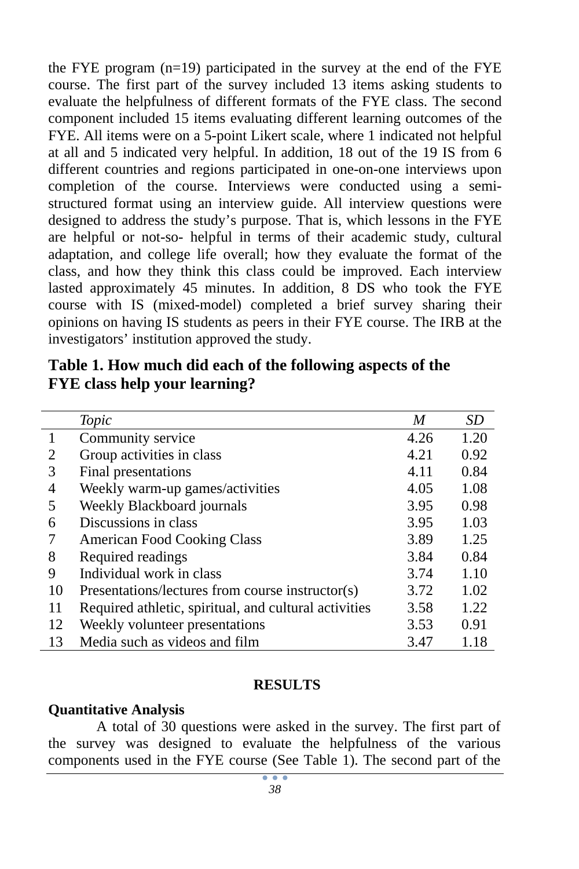the FYE program (n=19) participated in the survey at the end of the FYE course. The first part of the survey included 13 items asking students to evaluate the helpfulness of different formats of the FYE class. The second component included 15 items evaluating different learning outcomes of the FYE. All items were on a 5-point Likert scale, where 1 indicated not helpful at all and 5 indicated very helpful. In addition, 18 out of the 19 IS from 6 different countries and regions participated in one-on-one interviews upon completion of the course. Interviews were conducted using a semistructured format using an interview guide. All interview questions were designed to address the study's purpose. That is, which lessons in the FYE are helpful or not-so- helpful in terms of their academic study, cultural adaptation, and college life overall; how they evaluate the format of the class, and how they think this class could be improved. Each interview lasted approximately 45 minutes. In addition, 8 DS who took the FYE course with IS (mixed-model) completed a brief survey sharing their opinions on having IS students as peers in their FYE course. The IRB at the investigators' institution approved the study.

|                | Topic                                                 | M    | SD   |
|----------------|-------------------------------------------------------|------|------|
|                | Community service                                     | 4.26 | 1.20 |
| 2              | Group activities in class                             | 4.21 | 0.92 |
| 3              | Final presentations                                   | 4.11 | 0.84 |
| $\overline{4}$ | Weekly warm-up games/activities                       | 4.05 | 1.08 |
| 5              | Weekly Blackboard journals                            | 3.95 | 0.98 |
| 6              | Discussions in class                                  | 3.95 | 1.03 |
|                | <b>American Food Cooking Class</b>                    | 3.89 | 1.25 |
| 8              | Required readings                                     | 3.84 | 0.84 |
| 9              | Individual work in class                              | 3.74 | 1.10 |
| 10             | Presentations/lectures from course instructor(s)      | 3.72 | 1.02 |
| 11             | Required athletic, spiritual, and cultural activities | 3.58 | 1.22 |
| 12             | Weekly volunteer presentations                        | 3.53 | 0.91 |
| 13             | Media such as videos and film                         | 3.47 | 1.18 |

**Table 1. How much did each of the following aspects of the FYE class help your learning?**

#### **RESULTS**

#### **Quantitative Analysis**

A total of 30 questions were asked in the survey. The first part of the survey was designed to evaluate the helpfulness of the various components used in the FYE course (See Table 1). The second part of the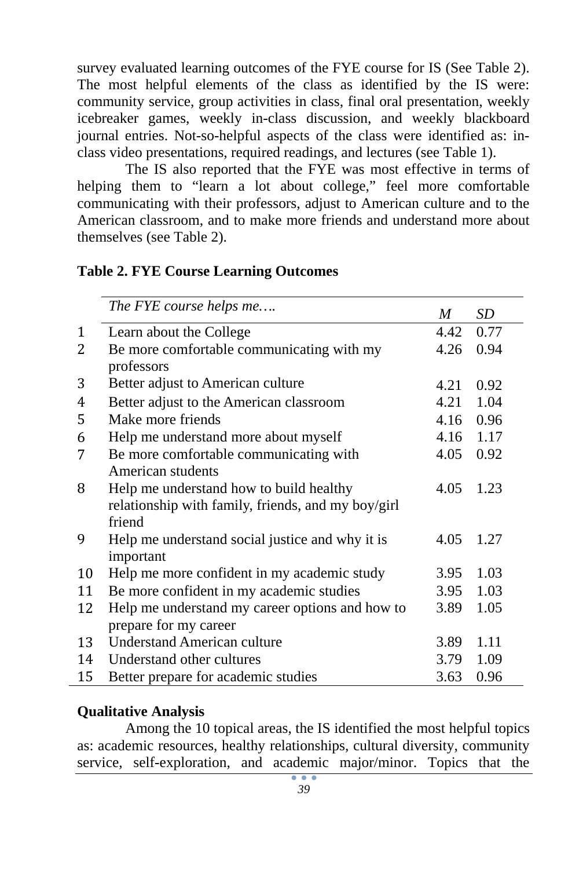survey evaluated learning outcomes of the FYE course for IS (See Table 2). The most helpful elements of the class as identified by the IS were: community service, group activities in class, final oral presentation, weekly icebreaker games, weekly in-class discussion, and weekly blackboard journal entries. Not-so-helpful aspects of the class were identified as: inclass video presentations, required readings, and lectures (see Table 1).

The IS also reported that the FYE was most effective in terms of helping them to "learn a lot about college," feel more comfortable communicating with their professors, adjust to American culture and to the American classroom, and to make more friends and understand more about themselves (see Table 2).

|    | The FYE course helps me                            | M    | SD   |
|----|----------------------------------------------------|------|------|
| 1  | Learn about the College                            | 4.42 | 0.77 |
| 2  | Be more comfortable communicating with my          | 4.26 | 0.94 |
|    | professors                                         |      |      |
| 3  | Better adjust to American culture                  | 4.21 | 0.92 |
| 4  | Better adjust to the American classroom            | 4.21 | 1.04 |
| 5  | Make more friends                                  | 4.16 | 0.96 |
| 6  | Help me understand more about myself               | 4.16 | 1.17 |
| 7  | Be more comfortable communicating with             | 4.05 | 0.92 |
|    | American students                                  |      |      |
| 8  | Help me understand how to build healthy            | 4.05 | 1.23 |
|    | relationship with family, friends, and my boy/girl |      |      |
|    | friend                                             |      |      |
| 9  | Help me understand social justice and why it is    | 4.05 | 1.27 |
|    | important                                          |      |      |
| 10 | Help me more confident in my academic study        | 3.95 | 1.03 |
| 11 | Be more confident in my academic studies           | 3.95 | 1.03 |
| 12 | Help me understand my career options and how to    | 3.89 | 1.05 |
|    | prepare for my career                              |      |      |
| 13 | <b>Understand American culture</b>                 | 3.89 | 1.11 |
| 14 | Understand other cultures                          | 3.79 | 1.09 |
| 15 | Better prepare for academic studies                | 3.63 | 0.96 |

#### **Table 2. FYE Course Learning Outcomes**

#### **Qualitative Analysis**

Among the 10 topical areas, the IS identified the most helpful topics as: academic resources, healthy relationships, cultural diversity, community service, self-exploration, and academic major/minor. Topics that the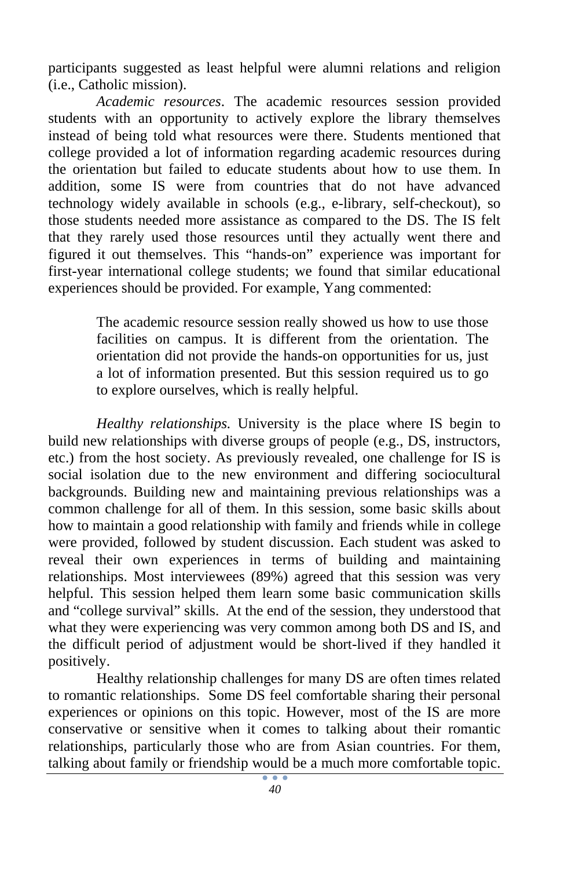participants suggested as least helpful were alumni relations and religion (i.e., Catholic mission).

*Academic resources*. The academic resources session provided students with an opportunity to actively explore the library themselves instead of being told what resources were there. Students mentioned that college provided a lot of information regarding academic resources during the orientation but failed to educate students about how to use them. In addition, some IS were from countries that do not have advanced technology widely available in schools (e.g., e-library, self-checkout), so those students needed more assistance as compared to the DS. The IS felt that they rarely used those resources until they actually went there and figured it out themselves. This "hands-on" experience was important for first-year international college students; we found that similar educational experiences should be provided. For example, Yang commented:

> The academic resource session really showed us how to use those facilities on campus. It is different from the orientation. The orientation did not provide the hands-on opportunities for us, just a lot of information presented. But this session required us to go to explore ourselves, which is really helpful.

*Healthy relationships.* University is the place where IS begin to build new relationships with diverse groups of people (e.g., DS, instructors, etc.) from the host society. As previously revealed, one challenge for IS is social isolation due to the new environment and differing sociocultural backgrounds. Building new and maintaining previous relationships was a common challenge for all of them. In this session, some basic skills about how to maintain a good relationship with family and friends while in college were provided, followed by student discussion. Each student was asked to reveal their own experiences in terms of building and maintaining relationships. Most interviewees (89%) agreed that this session was very helpful. This session helped them learn some basic communication skills and "college survival" skills. At the end of the session, they understood that what they were experiencing was very common among both DS and IS, and the difficult period of adjustment would be short-lived if they handled it positively.

Healthy relationship challenges for many DS are often times related to romantic relationships. Some DS feel comfortable sharing their personal experiences or opinions on this topic. However, most of the IS are more conservative or sensitive when it comes to talking about their romantic relationships, particularly those who are from Asian countries. For them, talking about family or friendship would be a much more comfortable topic.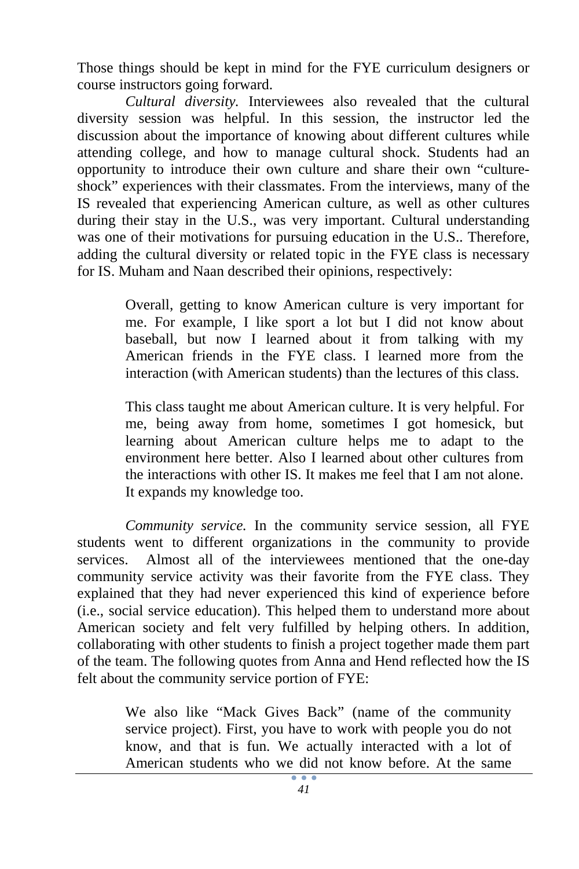Those things should be kept in mind for the FYE curriculum designers or course instructors going forward.

*Cultural diversity.* Interviewees also revealed that the cultural diversity session was helpful. In this session, the instructor led the discussion about the importance of knowing about different cultures while attending college, and how to manage cultural shock. Students had an opportunity to introduce their own culture and share their own "cultureshock" experiences with their classmates. From the interviews, many of the IS revealed that experiencing American culture, as well as other cultures during their stay in the U.S., was very important. Cultural understanding was one of their motivations for pursuing education in the U.S.. Therefore, adding the cultural diversity or related topic in the FYE class is necessary for IS. Muham and Naan described their opinions, respectively:

> Overall, getting to know American culture is very important for me. For example, I like sport a lot but I did not know about baseball, but now I learned about it from talking with my American friends in the FYE class. I learned more from the interaction (with American students) than the lectures of this class.

> This class taught me about American culture. It is very helpful. For me, being away from home, sometimes I got homesick, but learning about American culture helps me to adapt to the environment here better. Also I learned about other cultures from the interactions with other IS. It makes me feel that I am not alone. It expands my knowledge too.

*Community service.* In the community service session, all FYE students went to different organizations in the community to provide services. Almost all of the interviewees mentioned that the one-day community service activity was their favorite from the FYE class. They explained that they had never experienced this kind of experience before (i.e., social service education). This helped them to understand more about American society and felt very fulfilled by helping others. In addition, collaborating with other students to finish a project together made them part of the team. The following quotes from Anna and Hend reflected how the IS felt about the community service portion of FYE:

> We also like "Mack Gives Back" (name of the community service project). First, you have to work with people you do not know, and that is fun. We actually interacted with a lot of American students who we did not know before. At the same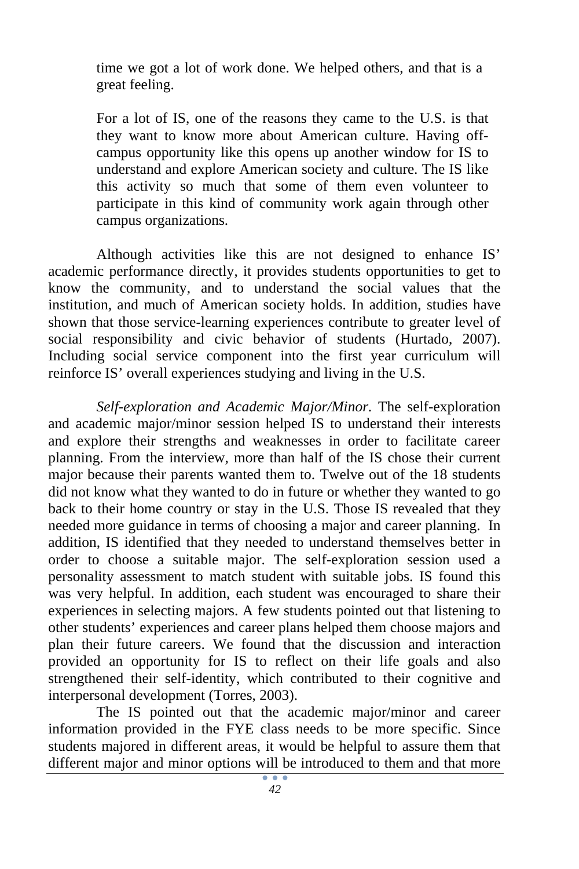time we got a lot of work done. We helped others, and that is a great feeling.

For a lot of IS, one of the reasons they came to the U.S. is that they want to know more about American culture. Having offcampus opportunity like this opens up another window for IS to understand and explore American society and culture. The IS like this activity so much that some of them even volunteer to participate in this kind of community work again through other campus organizations.

Although activities like this are not designed to enhance IS' academic performance directly, it provides students opportunities to get to know the community, and to understand the social values that the institution, and much of American society holds. In addition, studies have shown that those service-learning experiences contribute to greater level of social responsibility and civic behavior of students (Hurtado, 2007). Including social service component into the first year curriculum will reinforce IS' overall experiences studying and living in the U.S.

*Self-exploration and Academic Major/Minor*. The self-exploration and academic major/minor session helped IS to understand their interests and explore their strengths and weaknesses in order to facilitate career planning. From the interview, more than half of the IS chose their current major because their parents wanted them to. Twelve out of the 18 students did not know what they wanted to do in future or whether they wanted to go back to their home country or stay in the U.S. Those IS revealed that they needed more guidance in terms of choosing a major and career planning. In addition, IS identified that they needed to understand themselves better in order to choose a suitable major. The self-exploration session used a personality assessment to match student with suitable jobs. IS found this was very helpful. In addition, each student was encouraged to share their experiences in selecting majors. A few students pointed out that listening to other students' experiences and career plans helped them choose majors and plan their future careers. We found that the discussion and interaction provided an opportunity for IS to reflect on their life goals and also strengthened their self-identity, which contributed to their cognitive and interpersonal development (Torres, 2003).

The IS pointed out that the academic major/minor and career information provided in the FYE class needs to be more specific. Since students majored in different areas, it would be helpful to assure them that different major and minor options will be introduced to them and that more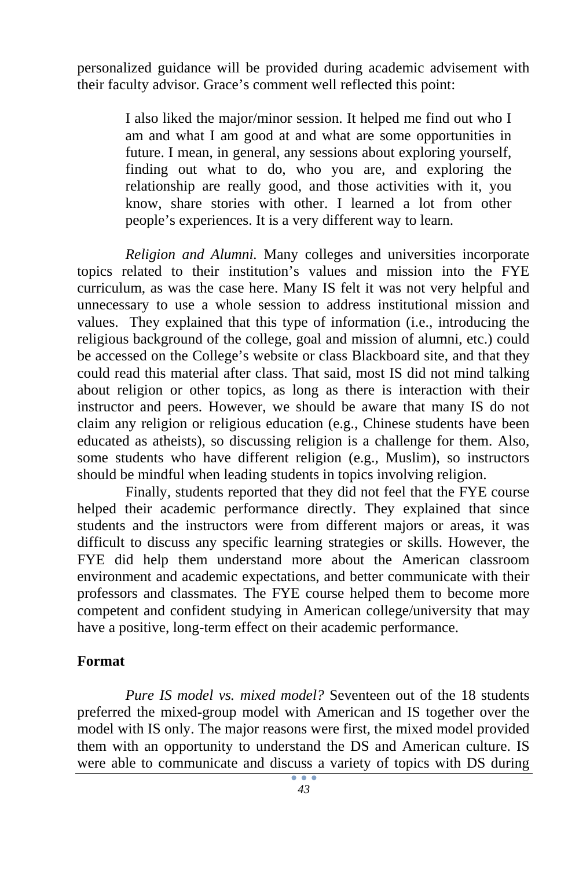personalized guidance will be provided during academic advisement with their faculty advisor. Grace's comment well reflected this point:

> I also liked the major/minor session. It helped me find out who I am and what I am good at and what are some opportunities in future. I mean, in general, any sessions about exploring yourself, finding out what to do, who you are, and exploring the relationship are really good, and those activities with it, you know, share stories with other. I learned a lot from other people's experiences. It is a very different way to learn.

*Religion and Alumni.* Many colleges and universities incorporate topics related to their institution's values and mission into the FYE curriculum, as was the case here. Many IS felt it was not very helpful and unnecessary to use a whole session to address institutional mission and values. They explained that this type of information (i.e., introducing the religious background of the college, goal and mission of alumni, etc.) could be accessed on the College's website or class Blackboard site, and that they could read this material after class. That said, most IS did not mind talking about religion or other topics, as long as there is interaction with their instructor and peers. However, we should be aware that many IS do not claim any religion or religious education (e.g., Chinese students have been educated as atheists), so discussing religion is a challenge for them. Also, some students who have different religion (e.g., Muslim), so instructors should be mindful when leading students in topics involving religion.

Finally, students reported that they did not feel that the FYE course helped their academic performance directly. They explained that since students and the instructors were from different majors or areas, it was difficult to discuss any specific learning strategies or skills. However, the FYE did help them understand more about the American classroom environment and academic expectations, and better communicate with their professors and classmates. The FYE course helped them to become more competent and confident studying in American college/university that may have a positive, long-term effect on their academic performance.

#### **Format**

*Pure IS model vs. mixed model?* Seventeen out of the 18 students preferred the mixed-group model with American and IS together over the model with IS only. The major reasons were first, the mixed model provided them with an opportunity to understand the DS and American culture. IS were able to communicate and discuss a variety of topics with DS during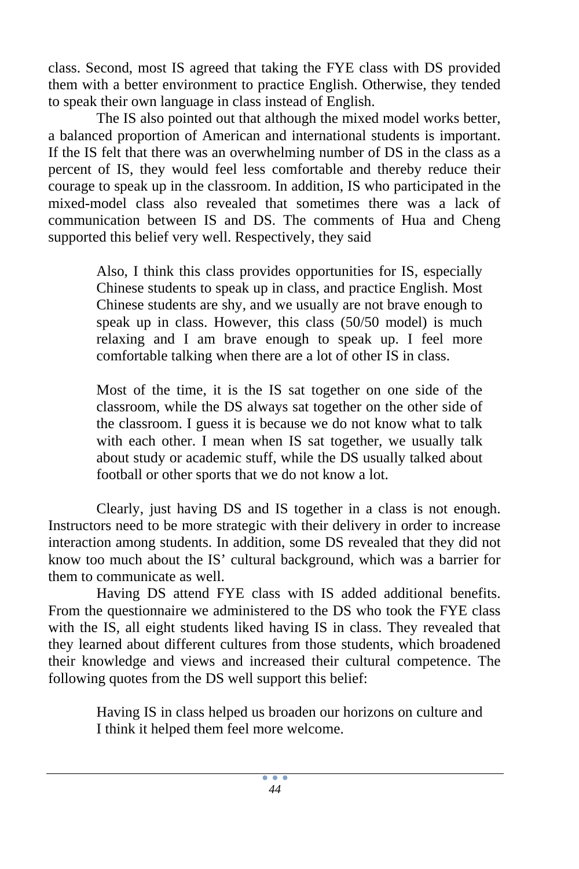class. Second, most IS agreed that taking the FYE class with DS provided them with a better environment to practice English. Otherwise, they tended to speak their own language in class instead of English.

The IS also pointed out that although the mixed model works better, a balanced proportion of American and international students is important. If the IS felt that there was an overwhelming number of DS in the class as a percent of IS, they would feel less comfortable and thereby reduce their courage to speak up in the classroom. In addition, IS who participated in the mixed-model class also revealed that sometimes there was a lack of communication between IS and DS. The comments of Hua and Cheng supported this belief very well. Respectively, they said

> Also, I think this class provides opportunities for IS, especially Chinese students to speak up in class, and practice English. Most Chinese students are shy, and we usually are not brave enough to speak up in class. However, this class (50/50 model) is much relaxing and I am brave enough to speak up. I feel more comfortable talking when there are a lot of other IS in class.

> Most of the time, it is the IS sat together on one side of the classroom, while the DS always sat together on the other side of the classroom. I guess it is because we do not know what to talk with each other. I mean when IS sat together, we usually talk about study or academic stuff, while the DS usually talked about football or other sports that we do not know a lot.

Clearly, just having DS and IS together in a class is not enough. Instructors need to be more strategic with their delivery in order to increase interaction among students. In addition, some DS revealed that they did not know too much about the IS' cultural background, which was a barrier for them to communicate as well.

Having DS attend FYE class with IS added additional benefits. From the questionnaire we administered to the DS who took the FYE class with the IS, all eight students liked having IS in class. They revealed that they learned about different cultures from those students, which broadened their knowledge and views and increased their cultural competence. The following quotes from the DS well support this belief:

> Having IS in class helped us broaden our horizons on culture and I think it helped them feel more welcome.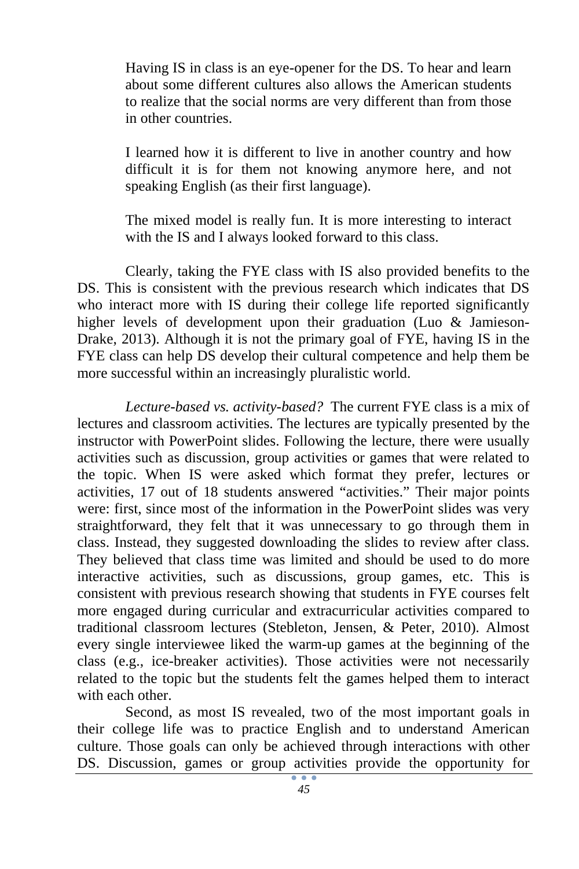Having IS in class is an eye-opener for the DS. To hear and learn about some different cultures also allows the American students to realize that the social norms are very different than from those in other countries.

I learned how it is different to live in another country and how difficult it is for them not knowing anymore here, and not speaking English (as their first language).

The mixed model is really fun. It is more interesting to interact with the IS and I always looked forward to this class.

Clearly, taking the FYE class with IS also provided benefits to the DS. This is consistent with the previous research which indicates that DS who interact more with IS during their college life reported significantly higher levels of development upon their graduation (Luo & Jamieson-Drake, 2013). Although it is not the primary goal of FYE, having IS in the FYE class can help DS develop their cultural competence and help them be more successful within an increasingly pluralistic world.

*Lecture-based vs. activity-based?* The current FYE class is a mix of lectures and classroom activities. The lectures are typically presented by the instructor with PowerPoint slides. Following the lecture, there were usually activities such as discussion, group activities or games that were related to the topic. When IS were asked which format they prefer, lectures or activities, 17 out of 18 students answered "activities." Their major points were: first, since most of the information in the PowerPoint slides was very straightforward, they felt that it was unnecessary to go through them in class. Instead, they suggested downloading the slides to review after class. They believed that class time was limited and should be used to do more interactive activities, such as discussions, group games, etc. This is consistent with previous research showing that students in FYE courses felt more engaged during curricular and extracurricular activities compared to traditional classroom lectures (Stebleton, Jensen, & Peter, 2010). Almost every single interviewee liked the warm-up games at the beginning of the class (e.g., ice-breaker activities). Those activities were not necessarily related to the topic but the students felt the games helped them to interact with each other.

Second, as most IS revealed, two of the most important goals in their college life was to practice English and to understand American culture. Those goals can only be achieved through interactions with other DS. Discussion, games or group activities provide the opportunity for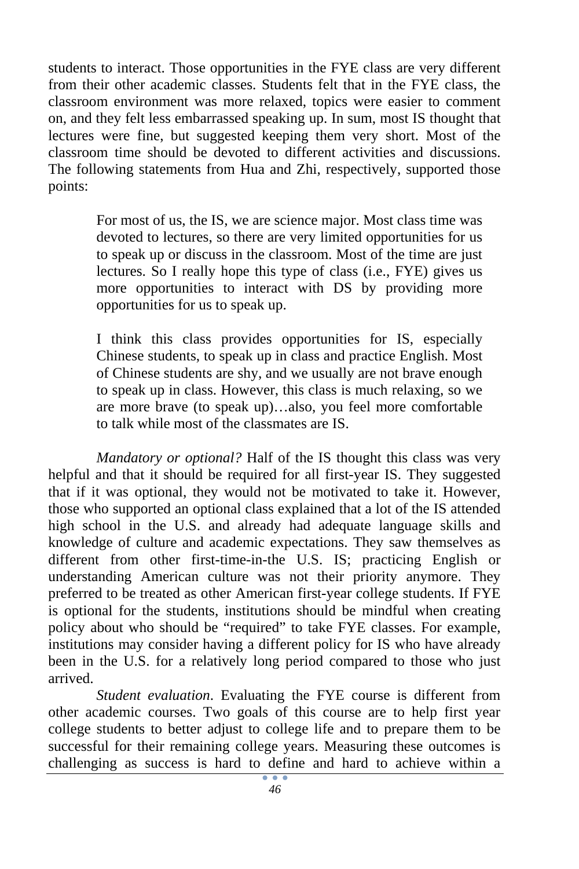students to interact. Those opportunities in the FYE class are very different from their other academic classes. Students felt that in the FYE class, the classroom environment was more relaxed, topics were easier to comment on, and they felt less embarrassed speaking up. In sum, most IS thought that lectures were fine, but suggested keeping them very short. Most of the classroom time should be devoted to different activities and discussions. The following statements from Hua and Zhi, respectively, supported those points:

> For most of us, the IS, we are science major. Most class time was devoted to lectures, so there are very limited opportunities for us to speak up or discuss in the classroom. Most of the time are just lectures. So I really hope this type of class (i.e., FYE) gives us more opportunities to interact with DS by providing more opportunities for us to speak up.

> I think this class provides opportunities for IS, especially Chinese students, to speak up in class and practice English. Most of Chinese students are shy, and we usually are not brave enough to speak up in class. However, this class is much relaxing, so we are more brave (to speak up)…also, you feel more comfortable to talk while most of the classmates are IS.

*Mandatory or optional?* Half of the IS thought this class was very helpful and that it should be required for all first-year IS. They suggested that if it was optional, they would not be motivated to take it. However, those who supported an optional class explained that a lot of the IS attended high school in the U.S. and already had adequate language skills and knowledge of culture and academic expectations. They saw themselves as different from other first-time-in-the U.S. IS; practicing English or understanding American culture was not their priority anymore. They preferred to be treated as other American first-year college students. If FYE is optional for the students, institutions should be mindful when creating policy about who should be "required" to take FYE classes. For example, institutions may consider having a different policy for IS who have already been in the U.S. for a relatively long period compared to those who just arrived.

*Student evaluation*. Evaluating the FYE course is different from other academic courses. Two goals of this course are to help first year college students to better adjust to college life and to prepare them to be successful for their remaining college years. Measuring these outcomes is challenging as success is hard to define and hard to achieve within a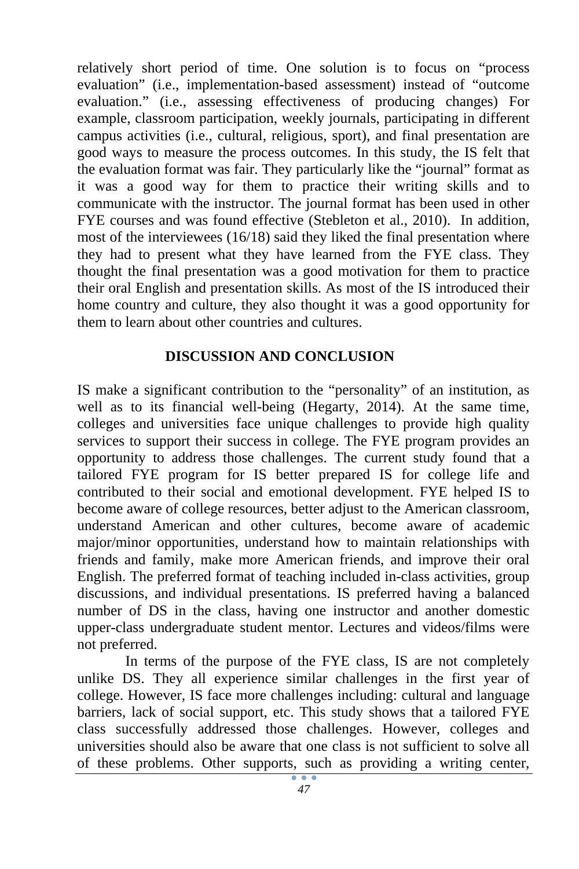relatively short period of time. One solution is to focus on "process evaluation" (i.e., implementation-based assessment) instead of "outcome evaluation." (i.e., assessing effectiveness of producing changes) For example, classroom participation, weekly journals, participating in different campus activities (i.e., cultural, religious, sport), and final presentation are good ways to measure the process outcomes. In this study, the IS felt that the evaluation format was fair. They particularly like the "journal" format as it was a good way for them to practice their writing skills and to communicate with the instructor. The journal format has been used in other FYE courses and was found effective (Stebleton et al., 2010). In addition, most of the interviewees (16/18) said they liked the final presentation where they had to present what they have learned from the FYE class. They thought the final presentation was a good motivation for them to practice their oral English and presentation skills. As most of the IS introduced their home country and culture, they also thought it was a good opportunity for them to learn about other countries and cultures.

#### **DISCUSSION AND CONCLUSION**

IS make a significant contribution to the "personality" of an institution, as well as to its financial well-being (Hegarty, 2014). At the same time, colleges and universities face unique challenges to provide high quality services to support their success in college. The FYE program provides an opportunity to address those challenges. The current study found that a tailored FYE program for IS better prepared IS for college life and contributed to their social and emotional development. FYE helped IS to become aware of college resources, better adjust to the American classroom, understand American and other cultures, become aware of academic major/minor opportunities, understand how to maintain relationships with friends and family, make more American friends, and improve their oral English. The preferred format of teaching included in-class activities, group discussions, and individual presentations. IS preferred having a balanced number of DS in the class, having one instructor and another domestic upper-class undergraduate student mentor. Lectures and videos/films were not preferred.

In terms of the purpose of the FYE class, IS are not completely unlike DS. They all experience similar challenges in the first year of college. However, IS face more challenges including: cultural and language barriers, lack of social support, etc. This study shows that a tailored FYE class successfully addressed those challenges. However, colleges and universities should also be aware that one class is not sufficient to solve all of these problems. Other supports, such as providing a writing center,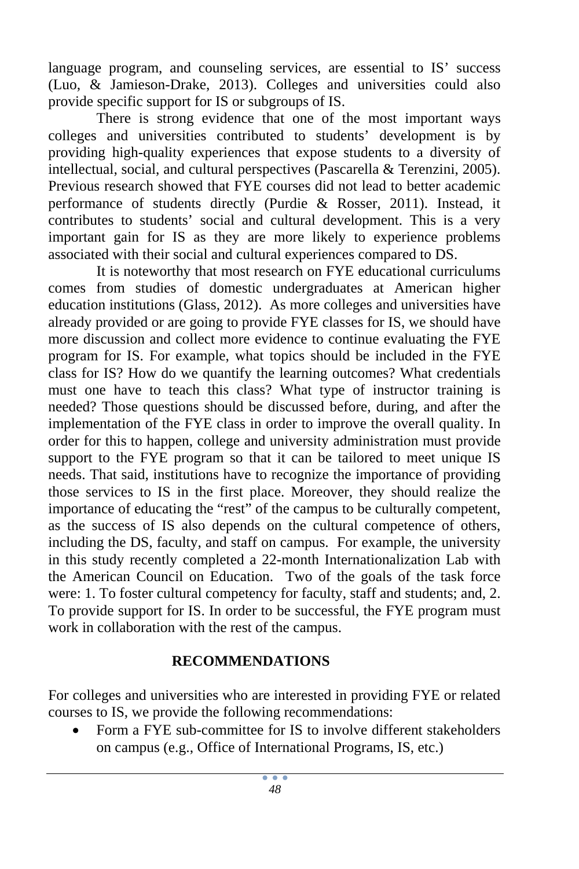language program, and counseling services, are essential to IS' success (Luo, & Jamieson-Drake, 2013). Colleges and universities could also provide specific support for IS or subgroups of IS.

There is strong evidence that one of the most important ways colleges and universities contributed to students' development is by providing high-quality experiences that expose students to a diversity of intellectual, social, and cultural perspectives (Pascarella & Terenzini, 2005). Previous research showed that FYE courses did not lead to better academic performance of students directly (Purdie & Rosser, 2011). Instead, it contributes to students' social and cultural development. This is a very important gain for IS as they are more likely to experience problems associated with their social and cultural experiences compared to DS.

It is noteworthy that most research on FYE educational curriculums comes from studies of domestic undergraduates at American higher education institutions (Glass, 2012). As more colleges and universities have already provided or are going to provide FYE classes for IS, we should have more discussion and collect more evidence to continue evaluating the FYE program for IS. For example, what topics should be included in the FYE class for IS? How do we quantify the learning outcomes? What credentials must one have to teach this class? What type of instructor training is needed? Those questions should be discussed before, during, and after the implementation of the FYE class in order to improve the overall quality. In order for this to happen, college and university administration must provide support to the FYE program so that it can be tailored to meet unique IS needs. That said, institutions have to recognize the importance of providing those services to IS in the first place. Moreover, they should realize the importance of educating the "rest" of the campus to be culturally competent, as the success of IS also depends on the cultural competence of others, including the DS, faculty, and staff on campus. For example, the university in this study recently completed a 22-month Internationalization Lab with the American Council on Education. Two of the goals of the task force were: 1. To foster cultural competency for faculty, staff and students; and, 2. To provide support for IS. In order to be successful, the FYE program must work in collaboration with the rest of the campus.

# **RECOMMENDATIONS**

For colleges and universities who are interested in providing FYE or related courses to IS, we provide the following recommendations:

 Form a FYE sub-committee for IS to involve different stakeholders on campus (e.g., Office of International Programs, IS, etc.)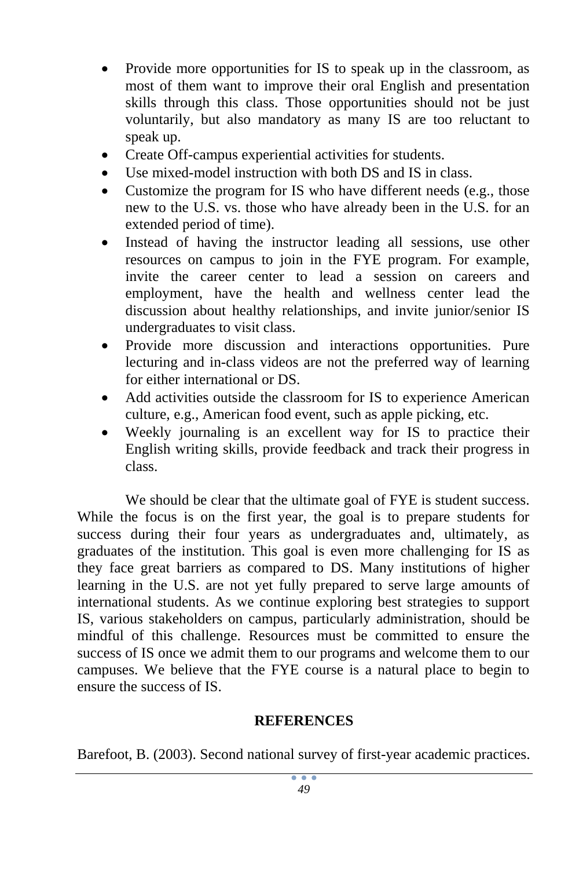- Provide more opportunities for IS to speak up in the classroom, as most of them want to improve their oral English and presentation skills through this class. Those opportunities should not be just voluntarily, but also mandatory as many IS are too reluctant to speak up.
- Create Off-campus experiential activities for students.
- Use mixed-model instruction with both DS and IS in class.
- Customize the program for IS who have different needs (e.g., those new to the U.S. vs. those who have already been in the U.S. for an extended period of time).
- Instead of having the instructor leading all sessions, use other resources on campus to join in the FYE program. For example, invite the career center to lead a session on careers and employment, have the health and wellness center lead the discussion about healthy relationships, and invite junior/senior IS undergraduates to visit class.
- Provide more discussion and interactions opportunities. Pure lecturing and in-class videos are not the preferred way of learning for either international or DS.
- Add activities outside the classroom for IS to experience American culture, e.g., American food event, such as apple picking, etc.
- Weekly journaling is an excellent way for IS to practice their English writing skills, provide feedback and track their progress in class.

We should be clear that the ultimate goal of FYE is student success. While the focus is on the first year, the goal is to prepare students for success during their four years as undergraduates and, ultimately, as graduates of the institution. This goal is even more challenging for IS as they face great barriers as compared to DS. Many institutions of higher learning in the U.S. are not yet fully prepared to serve large amounts of international students. As we continue exploring best strategies to support IS, various stakeholders on campus, particularly administration, should be mindful of this challenge. Resources must be committed to ensure the success of IS once we admit them to our programs and welcome them to our campuses. We believe that the FYE course is a natural place to begin to ensure the success of IS.

## **REFERENCES**

Barefoot, B. (2003). Second national survey of first-year academic practices.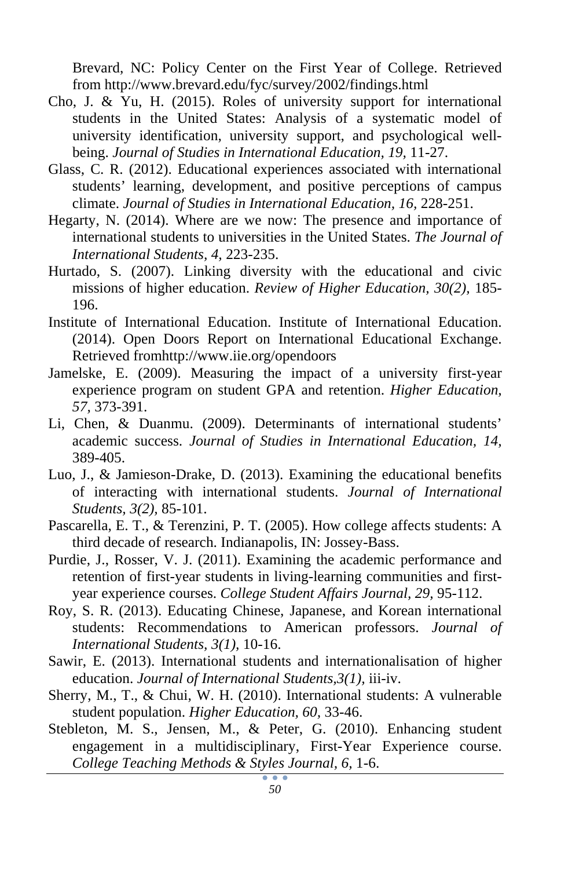Brevard, NC: Policy Center on the First Year of College. Retrieved from http://www.brevard.edu/fyc/survey/2002/findings.html

- Cho, J. & Yu, H. (2015). Roles of university support for international students in the United States: Analysis of a systematic model of university identification, university support, and psychological wellbeing. *Journal of Studies in International Education, 19,* 11-27.
- Glass, C. R. (2012). Educational experiences associated with international students' learning, development, and positive perceptions of campus climate. *Journal of Studies in International Education, 16,* 228-251.
- Hegarty, N. (2014). Where are we now: The presence and importance of international students to universities in the United States. *The Journal of International Students, 4,* 223-235.
- Hurtado, S. (2007). Linking diversity with the educational and civic missions of higher education. *Review of Higher Education, 30(2),* 185- 196.
- Institute of International Education. Institute of International Education. (2014). Open Doors Report on International Educational Exchange. Retrieved fromhttp://www.iie.org/opendoors
- Jamelske, E. (2009). Measuring the impact of a university first-year experience program on student GPA and retention. *Higher Education, 57,* 373-391.
- Li, Chen, & Duanmu. (2009). Determinants of international students' academic success. *Journal of Studies in International Education, 14,* 389-405.
- Luo, J., & Jamieson-Drake, D. (2013). Examining the educational benefits of interacting with international students. *Journal of International Students, 3(2),* 85-101.
- Pascarella, E. T., & Terenzini, P. T. (2005). How college affects students: A third decade of research. Indianapolis, IN: Jossey-Bass.
- Purdie, J., Rosser, V. J. (2011). Examining the academic performance and retention of first-year students in living-learning communities and firstyear experience courses. *College Student Affairs Journal, 29,* 95-112.
- Roy, S. R. (2013). Educating Chinese, Japanese, and Korean international students: Recommendations to American professors. *Journal of International Students, 3(1),* 10-16.
- Sawir, E. (2013). International students and internationalisation of higher education. *Journal of International Students,3(1),* iii-iv.
- Sherry, M., T., & Chui, W. H. (2010). International students: A vulnerable student population. *Higher Education, 60,* 33-46.
- Stebleton, M. S., Jensen, M., & Peter, G. (2010). Enhancing student engagement in a multidisciplinary, First-Year Experience course. *College Teaching Methods & Styles Journal, 6,* 1-6.